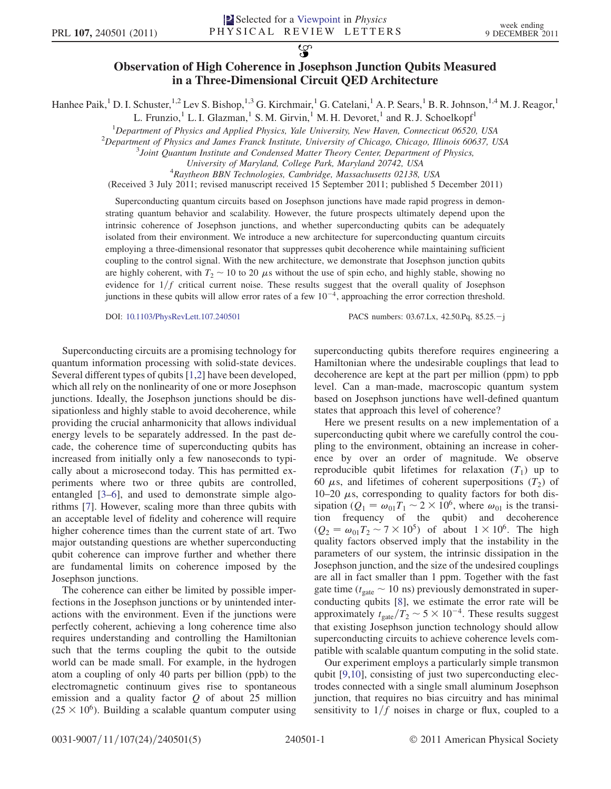$\overline{\mathbf{S}}$ 

## Observation of High Coherence in Josephson Junction Qubits Measured in a Three-Dimensional Circuit QED Architecture

Hanhee Paik,<sup>1</sup> D. I. Schuster,<sup>1,2</sup> Lev S. Bishop,<sup>1,3</sup> G. Kirchmair,<sup>1</sup> G. Catelani,<sup>1</sup> A. P. Sears,<sup>1</sup> B. R. Johnson,<sup>1,4</sup> M. J. Reagor,<sup>1</sup>

L. Frunzio,<sup>1</sup> L. I. Glazman,<sup>1</sup> S. M. Girvin,<sup>1</sup> M. H. Devoret,<sup>1</sup> and R. J. Schoelkopf<sup>1</sup>

<sup>1</sup>Department of Physics and Applied Physics, Yale University, New Haven, Connecticut 06520, USA<br><sup>2</sup>Department of Physics and James Franck Institute University of Chicago, Chicago, Illinois 60637, U

 $^{2}$ Department of Physics and James Franck Institute, University of Chicago, Chicago, Illinois 60637, USA

 $3$ Joint Quantum Institute and Condensed Matter Theory Center, Department of Physics,

University of Maryland, College Park, Maryland 20742, USA <sup>4</sup>

 ${}^{4}$ Raytheon BBN Technologies, Cambridge, Massachusetts 02138, USA

(Received 3 July 2011; revised manuscript received 15 September 2011; published 5 December 2011)

Superconducting quantum circuits based on Josephson junctions have made rapid progress in demonstrating quantum behavior and scalability. However, the future prospects ultimately depend upon the intrinsic coherence of Josephson junctions, and whether superconducting qubits can be adequately isolated from their environment. We introduce a new architecture for superconducting quantum circuits employing a three-dimensional resonator that suppresses qubit decoherence while maintaining sufficient coupling to the control signal. With the new architecture, we demonstrate that Josephson junction qubits are highly coherent, with  $T_2 \sim 10$  to 20  $\mu$ s without the use of spin echo, and highly stable, showing no evidence for  $1/f$  critical current noise. These results suggest that the overall quality of Josephson junctions in these qubits will allow error rates of a few  $10^{-4}$ , approaching the error correction threshold.

DOI: [10.1103/PhysRevLett.107.240501](http://dx.doi.org/10.1103/PhysRevLett.107.240501) PACS numbers: 03.67.Lx, 42.50.Pq, 85.25.-j

Superconducting circuits are a promising technology for quantum information processing with solid-state devices. Several different types of qubits [\[1,](#page-4-0)[2](#page-4-1)] have been developed, which all rely on the nonlinearity of one or more Josephson junctions. Ideally, the Josephson junctions should be dissipationless and highly stable to avoid decoherence, while providing the crucial anharmonicity that allows individual energy levels to be separately addressed. In the past decade, the coherence time of superconducting qubits has increased from initially only a few nanoseconds to typically about a microsecond today. This has permitted experiments where two or three qubits are controlled, entangled [\[3–](#page-4-2)[6](#page-4-3)], and used to demonstrate simple algorithms [[7](#page-4-4)]. However, scaling more than three qubits with an acceptable level of fidelity and coherence will require higher coherence times than the current state of art. Two major outstanding questions are whether superconducting qubit coherence can improve further and whether there are fundamental limits on coherence imposed by the Josephson junctions.

The coherence can either be limited by possible imperfections in the Josephson junctions or by unintended interactions with the environment. Even if the junctions were perfectly coherent, achieving a long coherence time also requires understanding and controlling the Hamiltonian such that the terms coupling the qubit to the outside world can be made small. For example, in the hydrogen atom a coupling of only 40 parts per billion (ppb) to the electromagnetic continuum gives rise to spontaneous emission and a quality factor  $Q$  of about 25 million  $(25 \times 10^6)$ . Building a scalable quantum computer using superconducting qubits therefore requires engineering a Hamiltonian where the undesirable couplings that lead to decoherence are kept at the part per million (ppm) to ppb level. Can a man-made, macroscopic quantum system based on Josephson junctions have well-defined quantum states that approach this level of coherence?

Here we present results on a new implementation of a superconducting qubit where we carefully control the coupling to the environment, obtaining an increase in coherence by over an order of magnitude. We observe reproducible qubit lifetimes for relaxation  $(T_1)$  up to 60  $\mu$ s, and lifetimes of coherent superpositions (T<sub>2</sub>) of 10–20  $\mu$ s, corresponding to quality factors for both dissipation ( $Q_1 = \omega_{01}T_1 \sim 2 \times 10^6$ , where  $\omega_{01}$  is the transition frequency of the qubit) and decoherence  $(Q_2 = \omega_{01}T_2 \sim 7 \times 10^5)$  of about  $1 \times 10^6$ . The high quality factors observed imply that the instability in the parameters of our system, the intrinsic dissipation in the Josephson junction, and the size of the undesired couplings are all in fact smaller than 1 ppm. Together with the fast gate time ( $t_{\text{gate}} \sim 10$  ns) previously demonstrated in superconducting qubits [[8\]](#page-4-5), we estimate the error rate will be approximately  $t_{\text{gate}}/T_2 \sim 5 \times 10^{-4}$ . These results suggest<br>that existing Josephson junction technology should allow that existing Josephson junction technology should allow superconducting circuits to achieve coherence levels compatible with scalable quantum computing in the solid state.

Our experiment employs a particularly simple transmon qubit [\[9,](#page-4-6)[10\]](#page-4-7), consisting of just two superconducting electrodes connected with a single small aluminum Josephson junction, that requires no bias circuitry and has minimal sensitivity to  $1/f$  noises in charge or flux, coupled to a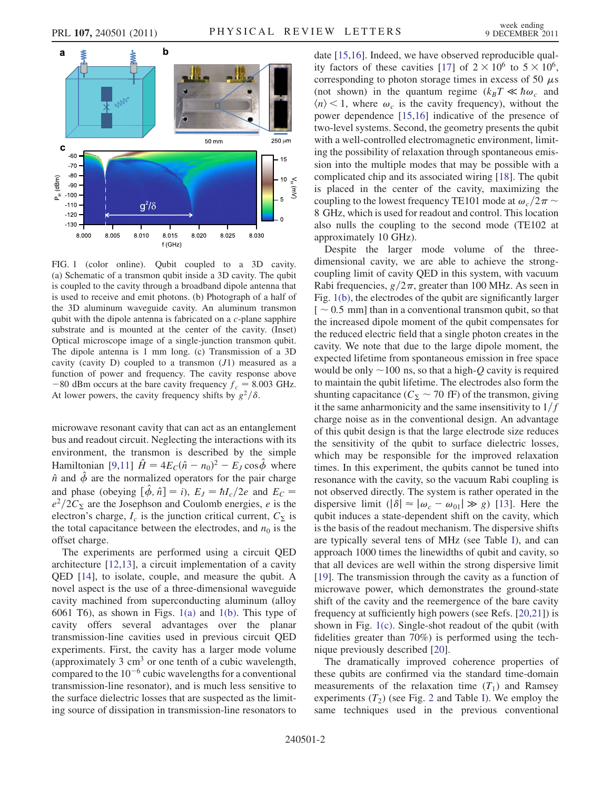

<span id="page-1-0"></span>FIG. 1 (color online). Qubit coupled to a 3D cavity. (a) Schematic of a transmon qubit inside a 3D cavity. The qubit is coupled to the cavity through a broadband dipole antenna that is used to receive and emit photons. (b) Photograph of a half of the 3D aluminum waveguide cavity. An aluminum transmon qubit with the dipole antenna is fabricated on a c-plane sapphire substrate and is mounted at the center of the cavity. (Inset) Optical microscope image of a single-junction transmon qubit. The dipole antenna is 1 mm long. (c) Transmission of a 3D cavity (cavity  $D$ ) coupled to a transmon  $(J1)$  measured as a function of power and frequency. The cavity response above -80 dBm occurs at the bare cavity frequency  $f_c = 8.003$  GHz.<br>At lower powers, the cavity frequency shifts by  $a^2/\delta$ At lower powers, the cavity frequency shifts by  $g^2/\delta$ .

microwave resonant cavity that can act as an entanglement bus and readout circuit. Neglecting the interactions with its environment, the transmon is described by the simple Hamiltonian [\[9](#page-4-6)[,11](#page-4-8)]  $\hat{H} = 4E_c(\hat{n} - n_0)^2 - E_J \cos \hat{\phi}$  where  $\hat{n}$  and  $\hat{\phi}$  are the normalized operators for the pair charge<br>and phase (obeying  $[\hat{A}, \hat{a}] = i$ ),  $F = hI/2a$  and  $F =$ and phase (obeying  $[\hat{\phi}, \hat{n}] = i$ ),  $E_J = \hbar l_c/2e$  and  $E_C =$ <br> $e^2/2C_F$  are the Iosephson and Coulomb energies e is the  $e^2/2C_{\Sigma}$  are the Josephson and Coulomb energies, e is the electron's charge,  $I_c$  is the junction critical current,  $C_{\Sigma}$  is the total capacitance between the electrodes, and  $n_0$  is the offset charge.

The experiments are performed using a circuit QED architecture [[12](#page-4-9),[13](#page-4-10)], a circuit implementation of a cavity QED [\[14\]](#page-4-11), to isolate, couple, and measure the qubit. A novel aspect is the use of a three-dimensional waveguide cavity machined from superconducting aluminum (alloy 6061 T6), as shown in Figs. [1\(a\)](#page-1-0) and [1\(b\).](#page-1-0) This type of cavity offers several advantages over the planar transmission-line cavities used in previous circuit QED experiments. First, the cavity has a larger mode volume (approximately 3  $\text{cm}^3$  or one tenth of a cubic wavelength, compared to the  $10^{-6}$  cubic wavelengths for a conventional transmission-line resonator), and is much less sensitive to the surface dielectric losses that are suspected as the limiting source of dissipation in transmission-line resonators to date [[15](#page-4-12),[16](#page-4-13)]. Indeed, we have observed reproducible qual-ity factors of these cavities [\[17\]](#page-4-14) of  $2 \times 10^6$  to  $5 \times 10^6$ , corresponding to photon storage times in excess of 50  $\mu$ s (not shown) in the quantum regime  $(k_BT \ll \hbar \omega_c$  and  $\langle n \rangle$  < 1, where  $\omega_c$  is the cavity frequency), without the power dependence [[15](#page-4-12),[16](#page-4-13)] indicative of the presence of two-level systems. Second, the geometry presents the qubit with a well-controlled electromagnetic environment, limiting the possibility of relaxation through spontaneous emission into the multiple modes that may be possible with a complicated chip and its associated wiring [\[18\]](#page-4-15). The qubit is placed in the center of the cavity, maximizing the coupling to the lowest frequency TE101 mode at  $\omega_c/2\pi \sim$ 8 GHz, which is used for readout and control. This location also nulls the coupling to the second mode (TE102 at approximately 10 GHz).

Despite the larger mode volume of the threedimensional cavity, we are able to achieve the strongcoupling limit of cavity QED in this system, with vacuum Rabi frequencies,  $g/2\pi$ , greater than 100 MHz. As seen in Fig. [1\(b\)](#page-1-0), the electrodes of the qubit are significantly larger  $\lceil \sim 0.5 \rceil$  mm than in a conventional transmon qubit, so that the increased dipole moment of the qubit compensates for the reduced electric field that a single photon creates in the cavity. We note that due to the large dipole moment, the expected lifetime from spontaneous emission in free space would be only  $\sim$ 100 ns, so that a high-Q cavity is required to maintain the qubit lifetime. The electrodes also form the shunting capacitance ( $C_{\Sigma} \sim 70$  fF) of the transmon, giving it the same anharmonicity and the same insensitivity to  $1/f$ charge noise as in the conventional design. An advantage of this qubit design is that the large electrode size reduces the sensitivity of the qubit to surface dielectric losses, which may be responsible for the improved relaxation times. In this experiment, the qubits cannot be tuned into resonance with the cavity, so the vacuum Rabi coupling is not observed directly. The system is rather operated in the dispersive limit  $(|\delta| \approx |\omega_c - \omega_{01}| \gg g)$  [[13](#page-4-10)]. Here the curity which qubit induces a state-dependent shift on the cavity, which is the basis of the readout mechanism. The dispersive shifts are typically several tens of MHz (see Table [I](#page-2-0)), and can approach 1000 times the linewidths of qubit and cavity, so that all devices are well within the strong dispersive limit [\[19\]](#page-4-16). The transmission through the cavity as a function of microwave power, which demonstrates the ground-state shift of the cavity and the reemergence of the bare cavity frequency at sufficiently high powers (see Refs. [\[20](#page-4-17)[,21\]](#page-4-18)) is shown in Fig. [1\(c\)](#page-1-0). Single-shot readout of the qubit (with fidelities greater than 70%) is performed using the technique previously described [[20](#page-4-17)].

The dramatically improved coherence properties of these qubits are confirmed via the standard time-domain measurements of the relaxation time  $(T_1)$  and Ramsey experiments  $(T_2)$  $(T_2)$  $(T_2)$  (see Fig. 2 and Table [I](#page-2-0)). We employ the same techniques used in the previous conventional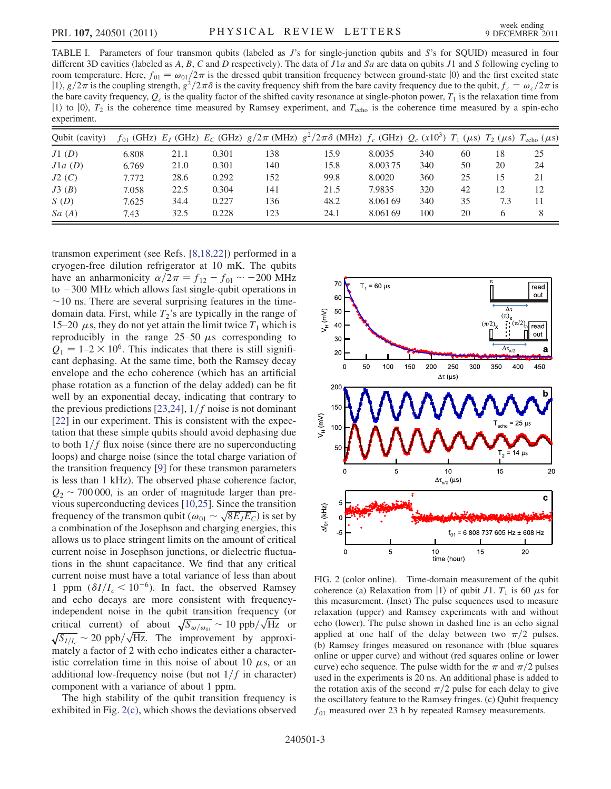<span id="page-2-0"></span>TABLE I. Parameters of four transmon qubits (labeled as J's for single-junction qubits and S's for SQUID) measured in four different 3D cavities (labeled as A, B, C and D respectively). The data of  $J1a$  and Sa are data on qubits  $J1$  and S following cycling to room temperature. Here,  $f_{01} = \omega_{01}/2\pi$  is the dressed qubit transition frequency between ground-state  $|0\rangle$  and the first excited state  $|1\rangle$ ,  $g/2\pi$  is the coupling strength,  $g^2/2\pi\delta$  is the cavity frequency shift from the bare cavity frequency due to the qubit,  $f_c = \omega_c/2\pi$  is the bare cavity frequency,  $Q_c$  is the quality factor of the shifted cavity resonance at single-photon power,  $T_1$  is the relaxation time from  $|1\rangle$  to  $|0\rangle$ ,  $T_2$  is the coherence time measured by Ramsey experiment, and  $T_{\text{echo}}$  is the coherence time measured by a spin-echo experiment.

| Oubit (cavity) |       |      |       |     | $f_{01}$ (GHz) $E_J$ (GHz) $E_C$ (GHz) $g/2\pi$ (MHz) $g^2/2\pi\delta$ (MHz) $f_c$ (GHz) $Q_c$ (x10 <sup>3</sup> ) $T_1$ ( $\mu$ s) $T_2$ ( $\mu$ s) $T_{\text{echo}}$ ( $\mu$ s) |          |     |    |     |    |
|----------------|-------|------|-------|-----|-----------------------------------------------------------------------------------------------------------------------------------------------------------------------------------|----------|-----|----|-----|----|
| J1(D)          | 6.808 | 21.1 | 0.301 | 138 | 15.9                                                                                                                                                                              | 8.0035   | 340 | 60 | 18  | 25 |
| J1a(D)         | 6.769 | 21.0 | 0.301 | 140 | 15.8                                                                                                                                                                              | 8.003.75 | 340 | 50 | 20  | 24 |
| J2(C)          | 7.772 | 28.6 | 0.292 | 152 | 99.8                                                                                                                                                                              | 8.0020   | 360 | 25 | 15  | 21 |
| J3(B)          | 7.058 | 22.5 | 0.304 | 141 | 21.5                                                                                                                                                                              | 7.9835   | 320 | 42 | 12  | 12 |
| S(D)           | 7.625 | 34.4 | 0.227 | 136 | 48.2                                                                                                                                                                              | 8.061.69 | 340 | 35 | 7.3 | 11 |
| Sa(A)          | 7.43  | 32.5 | 0.228 | 123 | 24.1                                                                                                                                                                              | 8.061.69 | 100 | 20 | h   | 8  |

transmon experiment (see Refs. [[8](#page-4-5),[18](#page-4-15),[22](#page-4-19)]) performed in a cryogen-free dilution refrigerator at 10 mK. The qubits have an anharmonicity  $\alpha/2\pi = f_{12} - f_{01} \sim -200 \text{ MHz}$ <br>to  $-300 \text{ MHz}$  which allows fast single-qubit operations in  $\frac{\text{10}}{200}$  MHz which allows fast single-qubit operations in  $\sim$ 10 ns. There are several surprising features in the timedomain data. First, while  $T_2$ 's are typically in the range of 15–20  $\mu$ s, they do not yet attain the limit twice  $T_1$  which is reproducibly in the range  $25-50 \mu s$  corresponding to  $Q_1 = 1-2 \times 10^6$ . This indicates that there is still significant dephasing. At the same time, both the Ramsey decay envelope and the echo coherence (which has an artificial phase rotation as a function of the delay added) can be fit well by an exponential decay, indicating that contrary to the previous predictions [[23](#page-4-20),[24](#page-4-21)],  $1/f$  noise is not dominant [\[22\]](#page-4-19) in our experiment. This is consistent with the expectation that these simple qubits should avoid dephasing due to both  $1/f$  flux noise (since there are no superconducting loops) and charge noise (since the total charge variation of the transition frequency [\[9](#page-4-6)] for these transmon parameters is less than 1 kHz). The observed phase coherence factor,  $Q_2 \sim 700\,000$ , is an order of magnitude larger than previous superconducting devices [\[10,](#page-4-7)[25\]](#page-4-22). Since the transition vious superconducting devices [10,25]. Since the transition<br>frequency of the transmon qubit  $(\omega_{01} \sim \sqrt{8E_JE_C})$  is set by<br>a combination of the Iosenhson and charging energies this a combination of the Josephson and charging energies, this allows us to place stringent limits on the amount of critical current noise in Josephson junctions, or dielectric fluctuations in the shunt capacitance. We find that any critical current noise must have a total variance of less than about 1 ppm  $(\delta I/I_c < 10^{-6})$ . In fact, the observed Ramsey<br>and echo decays are more consistent with frequencyand echo decays are more consistent with frequencyindependent noise in the qubit transition frequency (or independent noise in the qubit transition frequency (or<br>critical current) of about  $\sqrt{S_{\omega/\omega_{01}}} \sim 10 \text{ ppb}/\sqrt{\text{Hz}}$  or current) of about  $\sqrt{S_{\omega/\omega_{01}}} \sim 10 \text{ ppb}/\sqrt{Hz}$  or<br>  $\sim 20 \text{ ppb}/\sqrt{Hz}$ . The improvement by approxi-<br>
a factor of 2 with echo indicates either a character.  $\sum_{i=1}^{\infty}$  a factor of 2 with echo indicates either a characteristic correlation time in this noise of about 10  $\mu$ s, or an additional low-frequency noise (but not  $1/f$  in character) component with a variance of about 1 ppm.

The high stability of the qubit transition frequency is exhibited in Fig. [2\(c\),](#page-2-2) which shows the deviations observed

<span id="page-2-1"></span>

<span id="page-2-2"></span>FIG. 2 (color online). Time-domain measurement of the qubit coherence (a) Relaxation from  $|1\rangle$  of qubit J1.  $T_1$  is 60  $\mu$ s for this measurement. (Inset) The pulse sequences used to measure relaxation (upper) and Ramsey experiments with and without echo (lower). The pulse shown in dashed line is an echo signal applied at one half of the delay between two  $\pi/2$  pulses. (b) Ramsey fringes measured on resonance with (blue squares online or upper curve) and without (red squares online or lower curve) echo sequence. The pulse width for the  $\pi$  and  $\pi/2$  pulses used in the experiments is 20 ns. An additional phase is added to the rotation axis of the second  $\pi/2$  pulse for each delay to give the oscillatory feature to the Ramsey fringes. (c) Qubit frequency  $f_{01}$  measured over 23 h by repeated Ramsey measurements.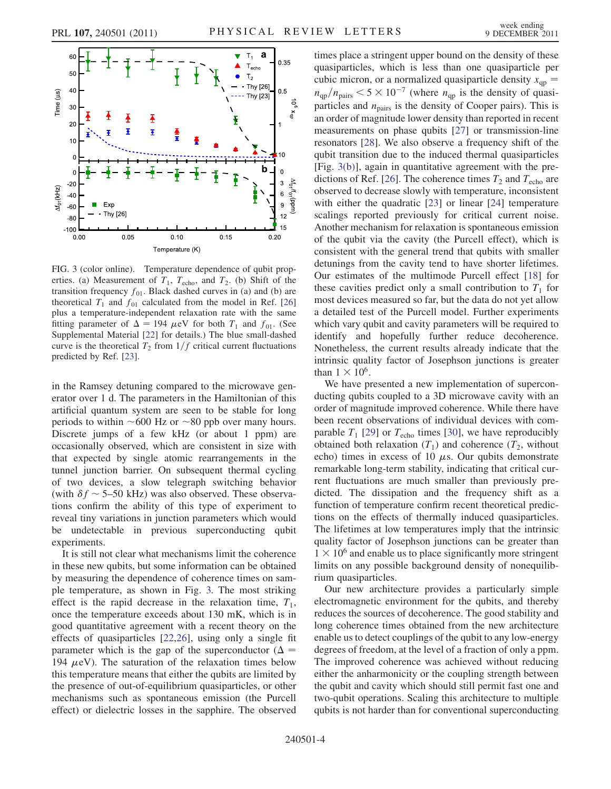<span id="page-3-0"></span>

<span id="page-3-1"></span>FIG. 3 (color online). Temperature dependence of qubit properties. (a) Measurement of  $T_1$ ,  $T_{echo}$ , and  $T_2$ . (b) Shift of the transition frequency  $f_{01}$ . Black dashed curves in (a) and (b) are theoretical  $T_1$  and  $f_{01}$  calculated from the model in Ref. [\[26\]](#page-4-23) plus a temperature-independent relaxation rate with the same fitting parameter of  $\Delta = 194 \mu \text{eV}$  for both  $T_1$  and  $f_{01}$ . (See<br>Supplemental Material [22] for details) The blue small-dashed Supplemental Material [[22](#page-4-19)] for details.) The blue small-dashed curve is the theoretical  $T_2$  from  $1/f$  critical current fluctuations predicted by Ref. [\[23\]](#page-4-20).

in the Ramsey detuning compared to the microwave generator over 1 d. The parameters in the Hamiltonian of this artificial quantum system are seen to be stable for long periods to within  $~600$  Hz or  $~80$  ppb over many hours. Discrete jumps of a few kHz (or about 1 ppm) are occasionally observed, which are consistent in size with that expected by single atomic rearrangements in the tunnel junction barrier. On subsequent thermal cycling of two devices, a slow telegraph switching behavior (with  $\delta f \sim 5$ –50 kHz) was also observed. These observations confirm the ability of this type of experiment to reveal tiny variations in junction parameters which would be undetectable in previous superconducting qubit experiments.

It is still not clear what mechanisms limit the coherence in these new qubits, but some information can be obtained by measuring the dependence of coherence times on sample temperature, as shown in Fig. [3.](#page-3-0) The most striking effect is the rapid decrease in the relaxation time,  $T_1$ , once the temperature exceeds about 130 mK, which is in good quantitative agreement with a recent theory on the effects of quasiparticles [[22](#page-4-19),[26](#page-4-23)], using only a single fit parameter which is the gap of the superconductor ( $\Delta =$ 194  $\mu$ eV). The saturation of the relaxation times below this temperature means that either the qubits are limited by the presence of out-of-equilibrium quasiparticles, or other mechanisms such as spontaneous emission (the Purcell effect) or dielectric losses in the sapphire. The observed times place a stringent upper bound on the density of these quasiparticles, which is less than one quasiparticle per cubic micron, or a normalized quasiparticle density  $x_{qp}$  =  $n_{\text{qp}}/n_{\text{pairs}} < 5 \times 10^{-7}$  (where  $n_{\text{qp}}$  is the density of quasi-<br>particles and  $n_{\text{air}}$  is the density of Cooper pairs). This is particles and  $n_{\text{pairs}}$  is the density of Cooper pairs). This is an order of magnitude lower density than reported in recent measurements on phase qubits [\[27\]](#page-4-24) or transmission-line resonators [\[28](#page-4-25)]. We also observe a frequency shift of the qubit transition due to the induced thermal quasiparticles [Fig. [3\(b\)](#page-3-1)], again in quantitative agreement with the pre-dictions of Ref. [[26](#page-4-23)]. The coherence times  $T_2$  and  $T_{echo}$  are observed to decrease slowly with temperature, inconsistent with either the quadratic [\[23\]](#page-4-20) or linear [[24](#page-4-21)] temperature scalings reported previously for critical current noise. Another mechanism for relaxation is spontaneous emission of the qubit via the cavity (the Purcell effect), which is consistent with the general trend that qubits with smaller detunings from the cavity tend to have shorter lifetimes. Our estimates of the multimode Purcell effect [[18](#page-4-15)] for these cavities predict only a small contribution to  $T_1$  for most devices measured so far, but the data do not yet allow a detailed test of the Purcell model. Further experiments which vary qubit and cavity parameters will be required to identify and hopefully further reduce decoherence. Nonetheless, the current results already indicate that the intrinsic quality factor of Josephson junctions is greater than  $1 \times 10^6$ .

We have presented a new implementation of superconducting qubits coupled to a 3D microwave cavity with an order of magnitude improved coherence. While there have been recent observations of individual devices with comparable  $T_1$  [\[29\]](#page-4-26) or  $T_{\text{echo}}$  times [\[30\]](#page-4-27), we have reproducibly obtained both relaxation  $(T_1)$  and coherence  $(T_2,$  without echo) times in excess of 10  $\mu$ s. Our qubits demonstrate remarkable long-term stability, indicating that critical current fluctuations are much smaller than previously predicted. The dissipation and the frequency shift as a function of temperature confirm recent theoretical predictions on the effects of thermally induced quasiparticles. The lifetimes at low temperatures imply that the intrinsic quality factor of Josephson junctions can be greater than  $1 \times 10^6$  and enable us to place significantly more stringent limits on any possible background density of nonequilibrium quasiparticles.

Our new architecture provides a particularly simple electromagnetic environment for the qubits, and thereby reduces the sources of decoherence. The good stability and long coherence times obtained from the new architecture enable us to detect couplings of the qubit to any low-energy degrees of freedom, at the level of a fraction of only a ppm. The improved coherence was achieved without reducing either the anharmonicity or the coupling strength between the qubit and cavity which should still permit fast one and two-qubit operations. Scaling this architecture to multiple qubits is not harder than for conventional superconducting